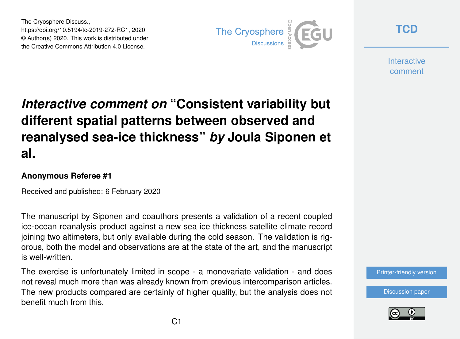The Cryosphere Discuss., https://doi.org/10.5194/tc-2019-272-RC1, 2020 © Author(s) 2020. This work is distributed under the Creative Commons Attribution 4.0 License.



**[TCD](https://www.the-cryosphere-discuss.net/)**

**Interactive** comment

## *Interactive comment on* **"Consistent variability but different spatial patterns between observed and reanalysed sea-ice thickness"** *by* **Joula Siponen et al.**

## **Anonymous Referee #1**

Received and published: 6 February 2020

The manuscript by Siponen and coauthors presents a validation of a recent coupled ice-ocean reanalysis product against a new sea ice thickness satellite climate record joining two altimeters, but only available during the cold season. The validation is rigorous, both the model and observations are at the state of the art, and the manuscript is well-written

The exercise is unfortunately limited in scope - a monovariate validation - and does not reveal much more than was already known from previous intercomparison articles. The new products compared are certainly of higher quality, but the analysis does not benefit much from this.

[Printer-friendly version](https://www.the-cryosphere-discuss.net/tc-2019-272/tc-2019-272-RC1-print.pdf)

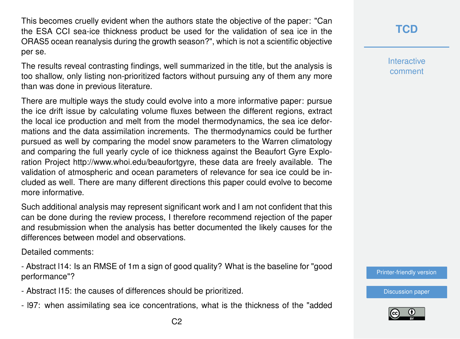This becomes cruelly evident when the authors state the objective of the paper: "Can the ESA CCI sea-ice thickness product be used for the validation of sea ice in the ORAS5 ocean reanalysis during the growth season?", which is not a scientific objective per se.

The results reveal contrasting findings, well summarized in the title, but the analysis is too shallow, only listing non-prioritized factors without pursuing any of them any more than was done in previous literature.

There are multiple ways the study could evolve into a more informative paper: pursue the ice drift issue by calculating volume fluxes between the different regions, extract the local ice production and melt from the model thermodynamics, the sea ice deformations and the data assimilation increments. The thermodynamics could be further pursued as well by comparing the model snow parameters to the Warren climatology and comparing the full yearly cycle of ice thickness against the Beaufort Gyre Exploration Project http://www.whoi.edu/beaufortgyre, these data are freely available. The validation of atmospheric and ocean parameters of relevance for sea ice could be included as well. There are many different directions this paper could evolve to become more informative.

Such additional analysis may represent significant work and I am not confident that this can be done during the review process, I therefore recommend rejection of the paper and resubmission when the analysis has better documented the likely causes for the differences between model and observations.

Detailed comments:

- Abstract l14: Is an RMSE of 1m a sign of good quality? What is the baseline for "good performance"?

- Abstract l15: the causes of differences should be prioritized.
- l97: when assimilating sea ice concentrations, what is the thickness of the "added

**Interactive** comment

[Printer-friendly version](https://www.the-cryosphere-discuss.net/tc-2019-272/tc-2019-272-RC1-print.pdf)

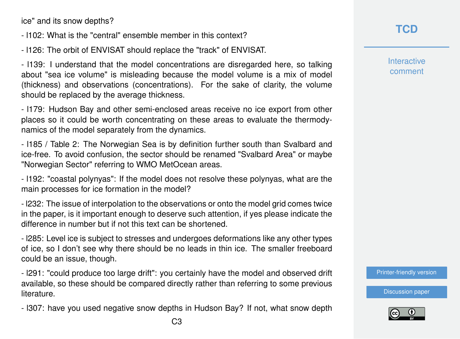ice" and its snow depths?

- l102: What is the "central" ensemble member in this context?

- l126: The orbit of ENVISAT should replace the "track" of ENVISAT.

- l139: I understand that the model concentrations are disregarded here, so talking about "sea ice volume" is misleading because the model volume is a mix of model (thickness) and observations (concentrations). For the sake of clarity, the volume should be replaced by the average thickness.

- l179: Hudson Bay and other semi-enclosed areas receive no ice export from other places so it could be worth concentrating on these areas to evaluate the thermodynamics of the model separately from the dynamics.

- l185 / Table 2: The Norwegian Sea is by definition further south than Svalbard and ice-free. To avoid confusion, the sector should be renamed "Svalbard Area" or maybe "Norwegian Sector" referring to WMO MetOcean areas.

- l192: "coastal polynyas": If the model does not resolve these polynyas, what are the main processes for ice formation in the model?

- l232: The issue of interpolation to the observations or onto the model grid comes twice in the paper, is it important enough to deserve such attention, if yes please indicate the difference in number but if not this text can be shortened.

- l285: Level ice is subject to stresses and undergoes deformations like any other types of ice, so I don't see why there should be no leads in thin ice. The smaller freeboard could be an issue, though.

- l291: "could produce too large drift": you certainly have the model and observed drift available, so these should be compared directly rather than referring to some previous literature.

- l307: have you used negative snow depths in Hudson Bay? If not, what snow depth

## **[TCD](https://www.the-cryosphere-discuss.net/)**

**Interactive** comment

[Printer-friendly version](https://www.the-cryosphere-discuss.net/tc-2019-272/tc-2019-272-RC1-print.pdf)